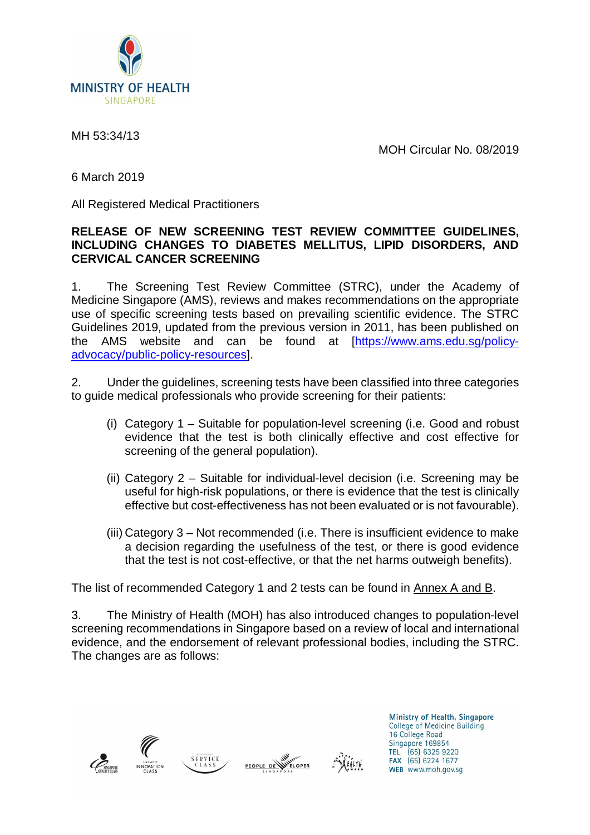

MH 53:34/13

MOH Circular No. 08/2019

6 March 2019

All Registered Medical Practitioners

#### **RELEASE OF NEW SCREENING TEST REVIEW COMMITTEE GUIDELINES, INCLUDING CHANGES TO DIABETES MELLITUS, LIPID DISORDERS, AND CERVICAL CANCER SCREENING**

1. The Screening Test Review Committee (STRC), under the Academy of Medicine Singapore (AMS), reviews and makes recommendations on the appropriate use of specific screening tests based on prevailing scientific evidence. The STRC Guidelines 2019, updated from the previous version in 2011, has been published on the AMS website and can be found at [\[https://www.ams.edu.sg/policy](https://www.ams.edu.sg/policy-)advocacy/public-policy-resources].

2. Under the guidelines, screening tests have been classified into three categories to guide medical professionals who provide screening for their patients:

- (i) Category 1 Suitable for population-level screening (i.e. Good and robust evidence that the test is both clinically effective and cost effective for screening of the general population).
- (ii) Category 2 Suitable for individual-level decision (i.e. Screening may be useful for high-risk populations, or there is evidence that the test is clinically effective but cost-effectiveness has not been evaluated or is not favourable).
- (iii) Category 3 Not recommended (i.e. There is insufficient evidence to make a decision regarding the usefulness of the test, or there is good evidence that the test is not cost-effective, or that the net harms outweigh benefits).

The list of recommended Category 1 and 2 tests can be found in Annex A and B.

3. The Ministry of Health (MOH) has also introduced changes to population-level screening recommendations in Singapore based on a review of local and international evidence, and the endorsement of relevant professional bodies, including the STRC. The changes are as follows:









Ministry of Health, Singapore College of Medicine Building 16 College Road Singapore 169854 TEL (65) 6325 9220<br>FAX (65) 6324 1677 WEB www.moh.gov.sg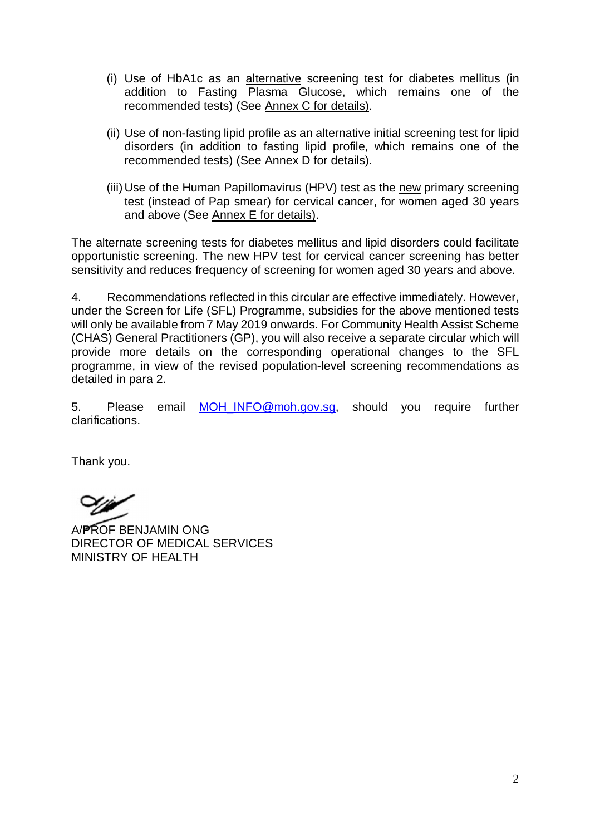- (i) Use of HbA1c as an alternative screening test for diabetes mellitus (in addition to Fasting Plasma Glucose, which remains one of the recommended tests) (See Annex C for details).
- (ii) Use of non-fasting lipid profile as an alternative initial screening test for lipid disorders (in addition to fasting lipid profile, which remains one of the recommended tests) (See Annex D for details).
- (iii) Use of the Human Papillomavirus (HPV) test as the new primary screening test (instead of Pap smear) for cervical cancer, for women aged 30 years and above (See Annex E for details).

The alternate screening tests for diabetes mellitus and lipid disorders could facilitate opportunistic screening. The new HPV test for cervical cancer screening has better sensitivity and reduces frequency of screening for women aged 30 years and above.

4. Recommendations reflected in this circular are effective immediately. However, under the Screen for Life (SFL) Programme, subsidies for the above mentioned tests will only be available from 7 May 2019 onwards. For Community Health Assist Scheme (CHAS) General Practitioners (GP), you will also receive a separate circular which will provide more details on the corresponding operational changes to the SFL programme, in view of the revised population-level screening recommendations as detailed in para 2.

5. Please email [MOH\\_INFO@moh.gov.sg,](mailto:MOH_INFO@moh.gov.sg,) should you require further clarifications.

Thank you.

A/PROF BENJAMIN ONG DIRECTOR OF MEDICAL SERVICES MINISTRY OF HEALTH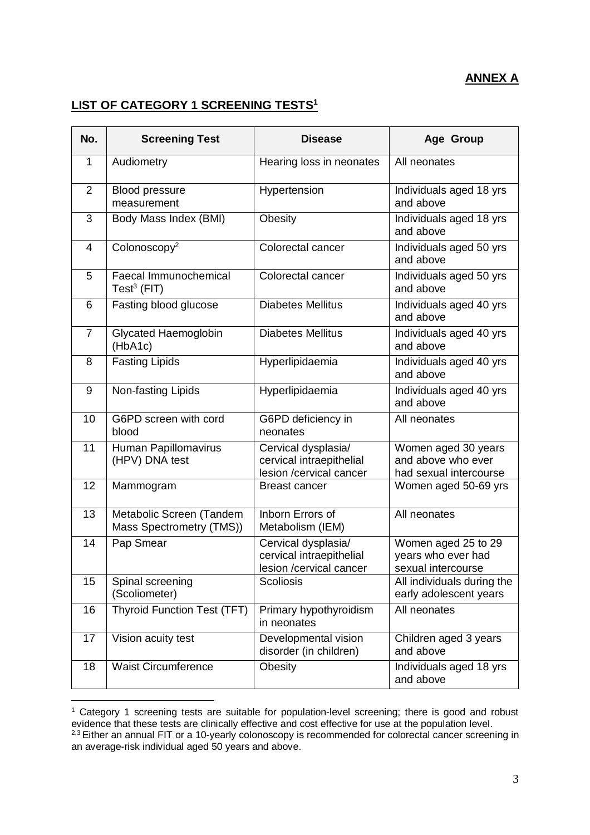# **ANNEX A**

# **LIST OF CATEGORY 1 SCREENING TESTS<sup>1</sup>**

| No.            | <b>Screening Test</b>                                | <b>Disease</b>                                                             | Age Group                                                           |
|----------------|------------------------------------------------------|----------------------------------------------------------------------------|---------------------------------------------------------------------|
| $\mathbf{1}$   | Audiometry                                           | Hearing loss in neonates                                                   | All neonates                                                        |
| $\overline{2}$ | <b>Blood pressure</b><br>measurement                 | Hypertension                                                               | Individuals aged 18 yrs<br>and above                                |
| 3              | Body Mass Index (BMI)                                | Obesity                                                                    | Individuals aged 18 yrs<br>and above                                |
| 4              | Colonoscopy <sup>2</sup>                             | Colorectal cancer                                                          | Individuals aged 50 yrs<br>and above                                |
| 5              | Faecal Immunochemical<br>Test <sup>3</sup> (FIT)     | Colorectal cancer                                                          | Individuals aged 50 yrs<br>and above                                |
| 6              | Fasting blood glucose                                | <b>Diabetes Mellitus</b>                                                   | Individuals aged 40 yrs<br>and above                                |
| $\overline{7}$ | Glycated Haemoglobin<br>(HbA1c)                      | <b>Diabetes Mellitus</b>                                                   | Individuals aged 40 yrs<br>and above                                |
| 8              | <b>Fasting Lipids</b>                                | Hyperlipidaemia                                                            | Individuals aged 40 yrs<br>and above                                |
| 9              | Non-fasting Lipids                                   | Hyperlipidaemia                                                            | Individuals aged 40 yrs<br>and above                                |
| 10             | G6PD screen with cord<br>blood                       | G6PD deficiency in<br>neonates                                             | All neonates                                                        |
| 11             | Human Papillomavirus<br>(HPV) DNA test               | Cervical dysplasia/<br>cervical intraepithelial<br>lesion /cervical cancer | Women aged 30 years<br>and above who ever<br>had sexual intercourse |
| 12             | Mammogram                                            | <b>Breast cancer</b>                                                       | Women aged 50-69 yrs                                                |
| 13             | Metabolic Screen (Tandem<br>Mass Spectrometry (TMS)) | Inborn Errors of<br>Metabolism (IEM)                                       | All neonates                                                        |
| 14             | Pap Smear                                            | Cervical dysplasia/<br>cervical intraepithelial<br>lesion /cervical cancer | Women aged 25 to 29<br>years who ever had<br>sexual intercourse     |
| 15             | Spinal screening<br>(Scoliometer)                    | <b>Scoliosis</b>                                                           | All individuals during the<br>early adolescent years                |
| 16             | <b>Thyroid Function Test (TFT)</b>                   | Primary hypothyroidism<br>in neonates                                      | All neonates                                                        |
| 17             | Vision acuity test                                   | Developmental vision<br>disorder (in children)                             | Children aged 3 years<br>and above                                  |
| 18             | <b>Waist Circumference</b>                           | Obesity                                                                    | Individuals aged 18 yrs<br>and above                                |

<sup>&</sup>lt;sup>1</sup> Category 1 screening tests are suitable for population-level screening; there is good and robust evidence that these tests are clinically effective and cost effective for use at the population level. <sup>2,3</sup> Either an annual FIT or a 10-yearly colonoscopy is recommended for colorectal cancer screening in an average-risk individual aged 50 years and above.

 $\overline{a}$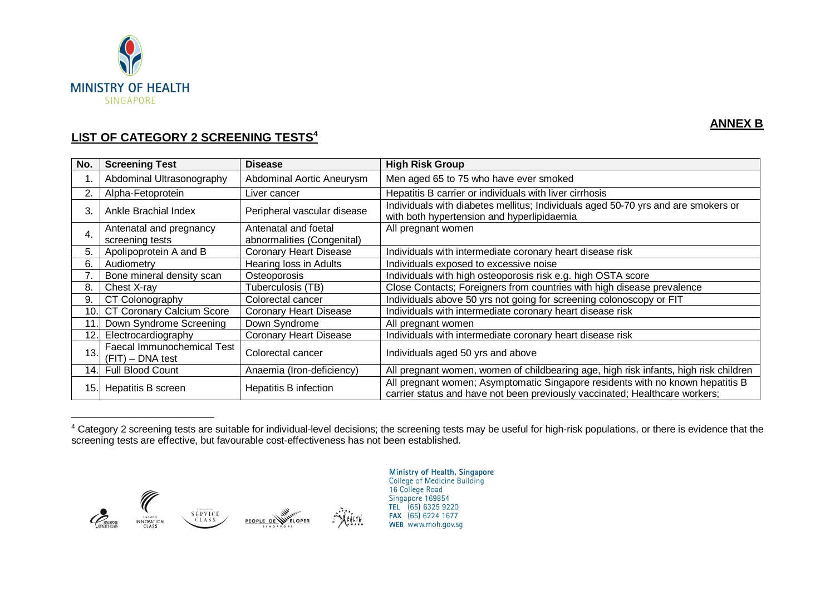

 $\overline{a}$ 

### **ANNEX B**

## **LIST OF CATEGORY 2 SCREENING TESTS<sup>4</sup>**

| No.         | <b>Screening Test</b>                            | <b>Disease</b>                | <b>High Risk Group</b>                                                                                                                                        |
|-------------|--------------------------------------------------|-------------------------------|---------------------------------------------------------------------------------------------------------------------------------------------------------------|
|             | Abdominal Ultrasonography                        | Abdominal Aortic Aneurysm     | Men aged 65 to 75 who have ever smoked                                                                                                                        |
|             | Alpha-Fetoprotein                                | Liver cancer                  | Hepatitis B carrier or individuals with liver cirrhosis                                                                                                       |
| 3.          | Ankle Brachial Index                             | Peripheral vascular disease   | Individuals with diabetes mellitus; Individuals aged 50-70 yrs and are smokers or<br>with both hypertension and hyperlipidaemia                               |
| 4.          | Antenatal and pregnancy                          | Antenatal and foetal          | All pregnant women                                                                                                                                            |
|             | screening tests                                  | abnormalities (Congenital)    |                                                                                                                                                               |
| 5.          | Apolipoprotein A and B                           | <b>Coronary Heart Disease</b> | Individuals with intermediate coronary heart disease risk                                                                                                     |
| 6.          | Audiometry                                       | Hearing loss in Adults        | Individuals exposed to excessive noise                                                                                                                        |
|             | Bone mineral density scan                        | Osteoporosis                  | Individuals with high osteoporosis risk e.g. high OSTA score                                                                                                  |
| 8.          | Chest X-ray                                      | Tuberculosis (TB)             | Close Contacts; Foreigners from countries with high disease prevalence                                                                                        |
| 9.          | CT Colonography                                  | Colorectal cancer             | Individuals above 50 yrs not going for screening colonoscopy or FIT                                                                                           |
| 10.1        | CT Coronary Calcium Score                        | <b>Coronary Heart Disease</b> | Individuals with intermediate coronary heart disease risk                                                                                                     |
| $\mathbf 1$ | Down Syndrome Screening                          | Down Syndrome                 | All pregnant women                                                                                                                                            |
| 12.         | Electrocardiography                              | <b>Coronary Heart Disease</b> | Individuals with intermediate coronary heart disease risk                                                                                                     |
| 13.         | Faecal Immunochemical Test<br>$(FIT)$ – DNA test | Colorectal cancer             | Individuals aged 50 yrs and above                                                                                                                             |
| 14.l        | <b>Full Blood Count</b>                          | Anaemia (Iron-deficiency)     | All pregnant women, women of childbearing age, high risk infants, high risk children                                                                          |
| 15.         | Hepatitis B screen                               | Hepatitis B infection         | All pregnant women; Asymptomatic Singapore residents with no known hepatitis B<br>carrier status and have not been previously vaccinated; Healthcare workers; |

<sup>4</sup> Category 2 screening tests are suitable for individual-level decisions; the screening tests may be useful for high-risk populations, or there is evidence that the screening tests are effective, but favourable cost-effectiveness has not been established.



Ministry of Health, Singapore<br>College of Medicine Building 16 College Road<br>Singapore 169854 TEL (65) 6325 9220<br>FAX (65) 6224 1677 WEB www.moh.gov.sq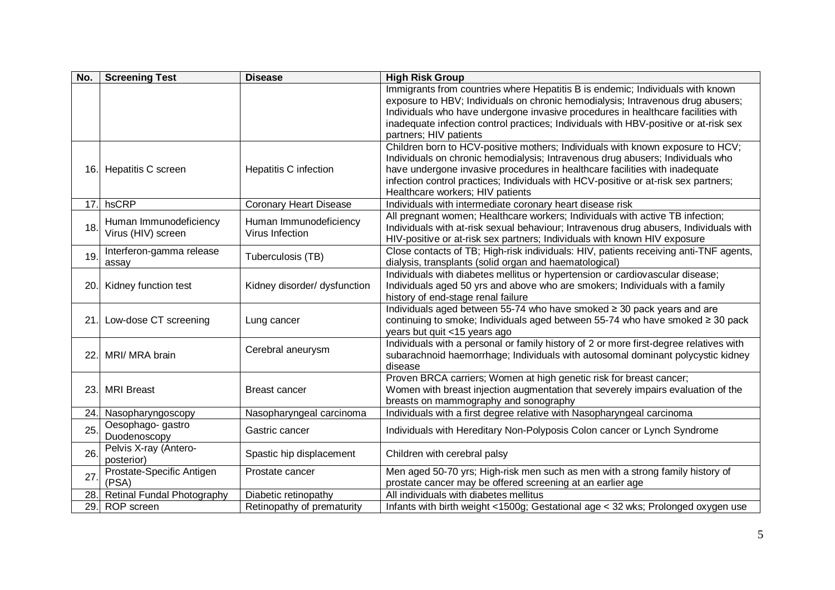| No. | <b>Screening Test</b>                        | <b>Disease</b>                            | <b>High Risk Group</b>                                                                                                                                                                                                                                                                                                                                                     |
|-----|----------------------------------------------|-------------------------------------------|----------------------------------------------------------------------------------------------------------------------------------------------------------------------------------------------------------------------------------------------------------------------------------------------------------------------------------------------------------------------------|
|     |                                              |                                           | Immigrants from countries where Hepatitis B is endemic; Individuals with known<br>exposure to HBV; Individuals on chronic hemodialysis; Intravenous drug abusers;                                                                                                                                                                                                          |
|     |                                              |                                           | Individuals who have undergone invasive procedures in healthcare facilities with                                                                                                                                                                                                                                                                                           |
|     |                                              |                                           | inadequate infection control practices; Individuals with HBV-positive or at-risk sex                                                                                                                                                                                                                                                                                       |
|     |                                              |                                           | partners; HIV patients                                                                                                                                                                                                                                                                                                                                                     |
|     | 16. Hepatitis C screen                       | Hepatitis C infection                     | Children born to HCV-positive mothers; Individuals with known exposure to HCV;<br>Individuals on chronic hemodialysis; Intravenous drug abusers; Individuals who<br>have undergone invasive procedures in healthcare facilities with inadequate<br>infection control practices; Individuals with HCV-positive or at-risk sex partners;<br>Healthcare workers; HIV patients |
| 17. | hsCRP                                        | <b>Coronary Heart Disease</b>             | Individuals with intermediate coronary heart disease risk                                                                                                                                                                                                                                                                                                                  |
| 18. | Human Immunodeficiency<br>Virus (HIV) screen | Human Immunodeficiency<br>Virus Infection | All pregnant women; Healthcare workers; Individuals with active TB infection;<br>Individuals with at-risk sexual behaviour; Intravenous drug abusers, Individuals with<br>HIV-positive or at-risk sex partners; Individuals with known HIV exposure                                                                                                                        |
| 19. | Interferon-gamma release<br>assay            | Tuberculosis (TB)                         | Close contacts of TB; High-risk individuals: HIV, patients receiving anti-TNF agents,<br>dialysis, transplants (solid organ and haematological)                                                                                                                                                                                                                            |
| 20. | Kidney function test                         | Kidney disorder/ dysfunction              | Individuals with diabetes mellitus or hypertension or cardiovascular disease;<br>Individuals aged 50 yrs and above who are smokers; Individuals with a family<br>history of end-stage renal failure                                                                                                                                                                        |
| 21. | Low-dose CT screening                        | Lung cancer                               | Individuals aged between 55-74 who have smoked ≥ 30 pack years and are<br>continuing to smoke; Individuals aged between 55-74 who have smoked ≥ 30 pack<br>years but quit <15 years ago                                                                                                                                                                                    |
| 22. | MRI/ MRA brain                               | Cerebral aneurysm                         | Individuals with a personal or family history of 2 or more first-degree relatives with<br>subarachnoid haemorrhage; Individuals with autosomal dominant polycystic kidney<br>disease                                                                                                                                                                                       |
| 23. | <b>MRI Breast</b>                            | <b>Breast cancer</b>                      | Proven BRCA carriers; Women at high genetic risk for breast cancer;<br>Women with breast injection augmentation that severely impairs evaluation of the<br>breasts on mammography and sonography                                                                                                                                                                           |
| 24. | Nasopharyngoscopy                            | Nasopharyngeal carcinoma                  | Individuals with a first degree relative with Nasopharyngeal carcinoma                                                                                                                                                                                                                                                                                                     |
| 25. | Oesophago- gastro<br>Duodenoscopy            | Gastric cancer                            | Individuals with Hereditary Non-Polyposis Colon cancer or Lynch Syndrome                                                                                                                                                                                                                                                                                                   |
| 26. | Pelvis X-ray (Antero-<br>posterior)          | Spastic hip displacement                  | Children with cerebral palsy                                                                                                                                                                                                                                                                                                                                               |
| 27. | Prostate-Specific Antigen<br>(PSA)           | Prostate cancer                           | Men aged 50-70 yrs; High-risk men such as men with a strong family history of<br>prostate cancer may be offered screening at an earlier age                                                                                                                                                                                                                                |
|     | 28. Retinal Fundal Photography               | Diabetic retinopathy                      | All individuals with diabetes mellitus                                                                                                                                                                                                                                                                                                                                     |
| 29. | ROP screen                                   | Retinopathy of prematurity                | Infants with birth weight <1500g; Gestational age < 32 wks; Prolonged oxygen use                                                                                                                                                                                                                                                                                           |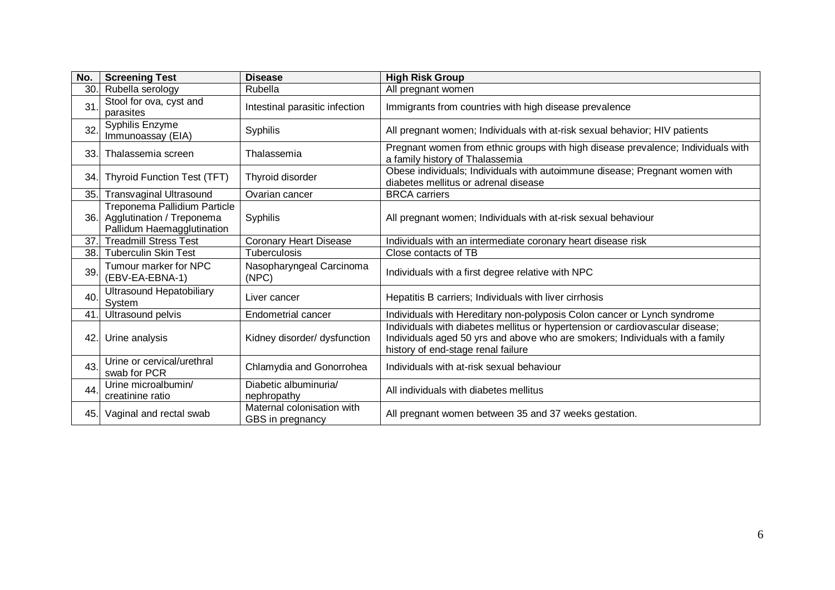| No. | <b>Screening Test</b>                                                                   | <b>Disease</b>                                 | <b>High Risk Group</b>                                                                                                                                                                              |
|-----|-----------------------------------------------------------------------------------------|------------------------------------------------|-----------------------------------------------------------------------------------------------------------------------------------------------------------------------------------------------------|
| 30. | Rubella serology                                                                        | Rubella                                        | All pregnant women                                                                                                                                                                                  |
| 31  | Stool for ova, cyst and<br>parasites                                                    | Intestinal parasitic infection                 | Immigrants from countries with high disease prevalence                                                                                                                                              |
| 32. | Syphilis Enzyme<br>Immunoassay (EIA)                                                    | <b>Syphilis</b>                                | All pregnant women; Individuals with at-risk sexual behavior; HIV patients                                                                                                                          |
| 33. | Thalassemia screen                                                                      | Thalassemia                                    | Pregnant women from ethnic groups with high disease prevalence; Individuals with<br>a family history of Thalassemia                                                                                 |
| 34. | Thyroid Function Test (TFT)                                                             | Thyroid disorder                               | Obese individuals; Individuals with autoimmune disease; Pregnant women with<br>diabetes mellitus or adrenal disease                                                                                 |
| 35. | <b>Transvaginal Ultrasound</b>                                                          | Ovarian cancer                                 | <b>BRCA</b> carriers                                                                                                                                                                                |
| 36. | Treponema Pallidium Particle<br>Agglutination / Treponema<br>Pallidum Haemagglutination | Syphilis                                       | All pregnant women; Individuals with at-risk sexual behaviour                                                                                                                                       |
| 37. | <b>Treadmill Stress Test</b>                                                            | <b>Coronary Heart Disease</b>                  | Individuals with an intermediate coronary heart disease risk                                                                                                                                        |
| 38. | <b>Tuberculin Skin Test</b>                                                             | Tuberculosis                                   | Close contacts of TB                                                                                                                                                                                |
| 39. | Tumour marker for NPC<br>(EBV-EA-EBNA-1)                                                | Nasopharyngeal Carcinoma<br>(NPC)              | Individuals with a first degree relative with NPC                                                                                                                                                   |
| 40. | <b>Ultrasound Hepatobiliary</b><br><b>System</b>                                        | Liver cancer                                   | Hepatitis B carriers; Individuals with liver cirrhosis                                                                                                                                              |
| 41. | Ultrasound pelvis                                                                       | Endometrial cancer                             | Individuals with Hereditary non-polyposis Colon cancer or Lynch syndrome                                                                                                                            |
| 42. | Urine analysis                                                                          | Kidney disorder/ dysfunction                   | Individuals with diabetes mellitus or hypertension or cardiovascular disease;<br>Individuals aged 50 yrs and above who are smokers; Individuals with a family<br>history of end-stage renal failure |
| 43. | Urine or cervical/urethral<br>swab for PCR                                              | Chlamydia and Gonorrohea                       | Individuals with at-risk sexual behaviour                                                                                                                                                           |
| 44. | Urine microalbumin/<br>creatinine ratio                                                 | Diabetic albuminuria/<br>nephropathy           | All individuals with diabetes mellitus                                                                                                                                                              |
| 45. | Vaginal and rectal swab                                                                 | Maternal colonisation with<br>GBS in pregnancy | All pregnant women between 35 and 37 weeks gestation.                                                                                                                                               |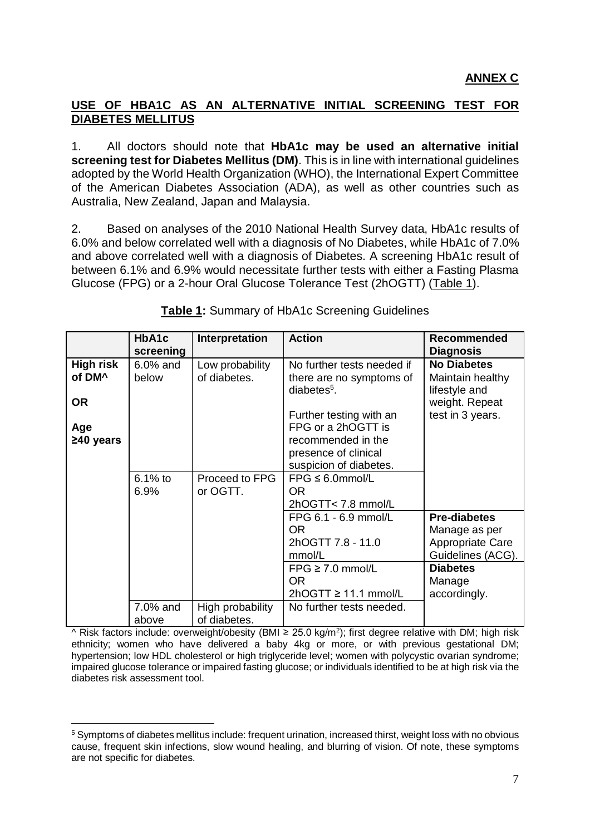### **USE OF HBA1C AS AN ALTERNATIVE INITIAL SCREENING TEST FOR DIABETES MELLITUS**

1. All doctors should note that **HbA1c may be used an alternative initial screening test for Diabetes Mellitus (DM)**. This is in line with international guidelines adopted by the World Health Organization (WHO), the International Expert Committee of the American Diabetes Association (ADA), as well as other countries such as Australia, New Zealand, Japan and Malaysia.

2. Based on analyses of the 2010 National Health Survey data, HbA1c results of 6.0% and below correlated well with a diagnosis of No Diabetes, while HbA1c of 7.0% and above correlated well with a diagnosis of Diabetes. A screening HbA1c result of between 6.1% and 6.9% would necessitate further tests with either a Fasting Plasma Glucose (FPG) or a 2-hour Oral Glucose Tolerance Test (2hOGTT) (Table 1).

|                    | HbA1c      | Interpretation   | <b>Action</b>                             | <b>Recommended</b>                |
|--------------------|------------|------------------|-------------------------------------------|-----------------------------------|
|                    | screening  |                  |                                           | <b>Diagnosis</b>                  |
| <b>High risk</b>   | $6.0%$ and | Low probability  | No further tests needed if                | <b>No Diabetes</b>                |
| of DM <sup>^</sup> | below      | of diabetes.     | there are no symptoms of<br>$diabetes5$ . | Maintain healthy<br>lifestyle and |
| <b>OR</b>          |            |                  |                                           | weight. Repeat                    |
|                    |            |                  | Further testing with an                   | test in 3 years.                  |
| Age                |            |                  | FPG or a 2hOGTT is                        |                                   |
| $\geq 40$ years    |            |                  | recommended in the                        |                                   |
|                    |            |                  | presence of clinical                      |                                   |
|                    |            |                  | suspicion of diabetes.                    |                                   |
|                    | $6.1\%$ to | Proceed to FPG   | $FPG \leq 6.0$ mmol/L                     |                                   |
|                    | 6.9%       | or OGTT.         | OR.                                       |                                   |
|                    |            |                  | 2hOGTT< 7.8 mmol/L                        |                                   |
|                    |            |                  | FPG 6.1 - 6.9 mmol/L                      | <b>Pre-diabetes</b>               |
|                    |            |                  | OR.                                       | Manage as per                     |
|                    |            |                  | 2hOGTT 7.8 - 11.0                         | Appropriate Care                  |
|                    |            |                  | mmol/L                                    | Guidelines (ACG).                 |
|                    |            |                  | $FPG \ge 7.0$ mmol/L                      | <b>Diabetes</b>                   |
|                    |            |                  | OR.                                       | Manage                            |
|                    |            |                  | $2hOGTT \ge 11.1$ mmol/L                  | accordingly.                      |
|                    | 7.0% and   | High probability | No further tests needed.                  |                                   |
|                    | above      | of diabetes.     |                                           |                                   |

**Table 1:** Summary of HbA1c Screening Guidelines

^ Risk factors include: overweight/obesity (BMI ≥ 25.0 kg/m<sup>2</sup>); first degree relative with DM; high risk ethnicity; women who have delivered a baby 4kg or more, or with previous gestational DM; hypertension; low HDL cholesterol or high triglyceride level; women with polycystic ovarian syndrome; impaired glucose tolerance or impaired fasting glucose; or individuals identified to be at high risk via the diabetes risk assessment tool.

 $\overline{a}$ <sup>5</sup> Symptoms of diabetes mellitus include: frequent urination, increased thirst, weight loss with no obvious cause, frequent skin infections, slow wound healing, and blurring of vision. Of note, these symptoms are not specific for diabetes.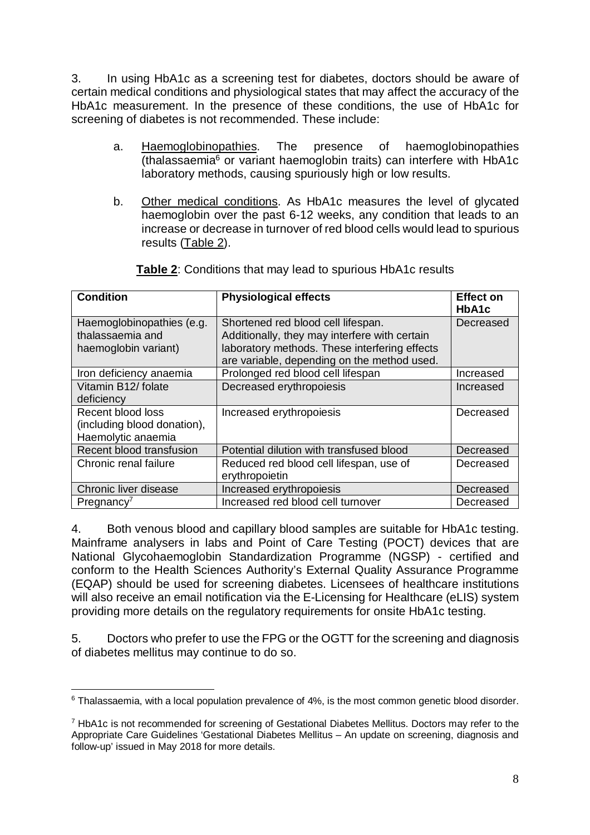3. In using HbA1c as a screening test for diabetes, doctors should be aware of certain medical conditions and physiological states that may affect the accuracy of the HbA1c measurement. In the presence of these conditions, the use of HbA1c for screening of diabetes is not recommended. These include:

- a. Haemoglobinopathies. The presence of haemoglobinopathies (thalassaemia<sup>6</sup> or variant haemoglobin traits) can interfere with HbA1c laboratory methods, causing spuriously high or low results.
- b. Other medical conditions. As HbA1c measures the level of glycated haemoglobin over the past 6-12 weeks, any condition that leads to an increase or decrease in turnover of red blood cells would lead to spurious results (Table 2).

| <b>Condition</b>                                                       | <b>Physiological effects</b>                                                                                                                                                        | <b>Effect on</b><br>HbA1c |
|------------------------------------------------------------------------|-------------------------------------------------------------------------------------------------------------------------------------------------------------------------------------|---------------------------|
| Haemoglobinopathies (e.g.<br>thalassaemia and<br>haemoglobin variant)  | Shortened red blood cell lifespan.<br>Additionally, they may interfere with certain<br>laboratory methods. These interfering effects<br>are variable, depending on the method used. | Decreased                 |
| Iron deficiency anaemia                                                | Prolonged red blood cell lifespan                                                                                                                                                   | Increased                 |
| Vitamin B12/ folate<br>deficiency                                      | Decreased erythropoiesis                                                                                                                                                            | Increased                 |
| Recent blood loss<br>(including blood donation),<br>Haemolytic anaemia | Increased erythropoiesis                                                                                                                                                            | Decreased                 |
| Recent blood transfusion                                               | Potential dilution with transfused blood                                                                                                                                            | Decreased                 |
| Chronic renal failure                                                  | Reduced red blood cell lifespan, use of<br>erythropoietin                                                                                                                           | Decreased                 |
| Chronic liver disease                                                  | Increased erythropoiesis                                                                                                                                                            | Decreased                 |
| Pregnancy'                                                             | Increased red blood cell turnover                                                                                                                                                   | Decreased                 |

**Table 2**: Conditions that may lead to spurious HbA1c results

4. Both venous blood and capillary blood samples are suitable for HbA1c testing. Mainframe analysers in labs and Point of Care Testing (POCT) devices that are National Glycohaemoglobin Standardization Programme (NGSP) - certified and conform to the Health Sciences Authority's External Quality Assurance Programme (EQAP) should be used for screening diabetes. Licensees of healthcare institutions will also receive an email notification via the E-Licensing for Healthcare (eLIS) system providing more details on the regulatory requirements for onsite HbA1c testing.

5. Doctors who prefer to use the FPG or the OGTT for the screening and diagnosis of diabetes mellitus may continue to do so.

 $\overline{a}$ <sup>6</sup> Thalassaemia, with a local population prevalence of 4%, is the most common genetic blood disorder.

 $7$  HbA1c is not recommended for screening of Gestational Diabetes Mellitus. Doctors may refer to the Appropriate Care Guidelines 'Gestational Diabetes Mellitus – An update on screening, diagnosis and follow-up' issued in May 2018 for more details.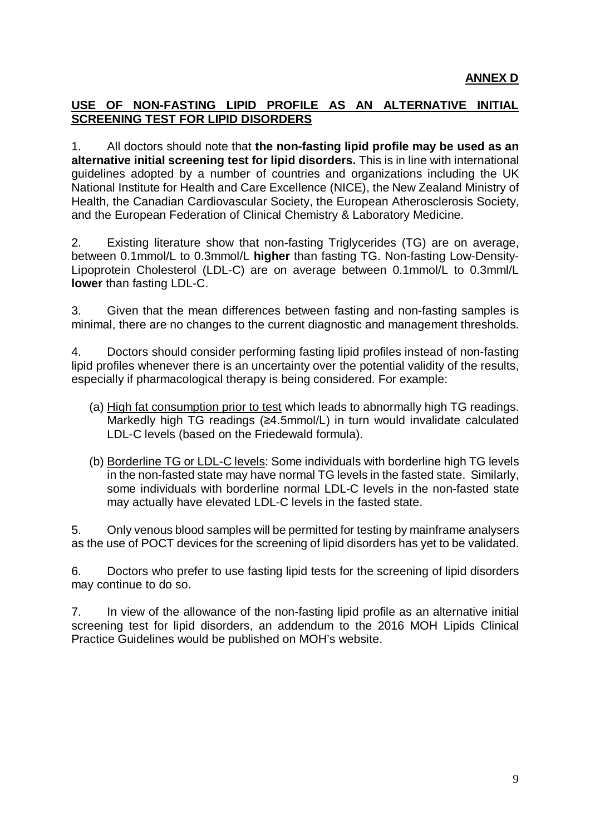### **USE OF NON-FASTING LIPID PROFILE AS AN ALTERNATIVE INITIAL SCREENING TEST FOR LIPID DISORDERS**

1. All doctors should note that **the non-fasting lipid profile may be used as an alternative initial screening test for lipid disorders.** This is in line with international guidelines adopted by a number of countries and organizations including the UK National Institute for Health and Care Excellence (NICE), the New Zealand Ministry of Health, the Canadian Cardiovascular Society, the European Atherosclerosis Society, and the European Federation of Clinical Chemistry & Laboratory Medicine.

2. Existing literature show that non-fasting Triglycerides (TG) are on average, between 0.1mmol/L to 0.3mmol/L **higher** than fasting TG. Non-fasting Low-Density-Lipoprotein Cholesterol (LDL-C) are on average between 0.1mmol/L to 0.3mml/L **lower** than fasting LDL-C.

3. Given that the mean differences between fasting and non-fasting samples is minimal, there are no changes to the current diagnostic and management thresholds.

4. Doctors should consider performing fasting lipid profiles instead of non-fasting lipid profiles whenever there is an uncertainty over the potential validity of the results, especially if pharmacological therapy is being considered. For example:

- (a) High fat consumption prior to test which leads to abnormally high TG readings. Markedly high TG readings (≥4.5mmol/L) in turn would invalidate calculated LDL-C levels (based on the Friedewald formula).
- (b) Borderline TG or LDL-C levels: Some individuals with borderline high TG levels in the non-fasted state may have normal TG levels in the fasted state. Similarly, some individuals with borderline normal LDL-C levels in the non-fasted state may actually have elevated LDL-C levels in the fasted state.

5. Only venous blood samples will be permitted for testing by mainframe analysers as the use of POCT devices for the screening of lipid disorders has yet to be validated.

6. Doctors who prefer to use fasting lipid tests for the screening of lipid disorders may continue to do so.

7. In view of the allowance of the non-fasting lipid profile as an alternative initial screening test for lipid disorders, an addendum to the 2016 MOH Lipids Clinical Practice Guidelines would be published on MOH's website.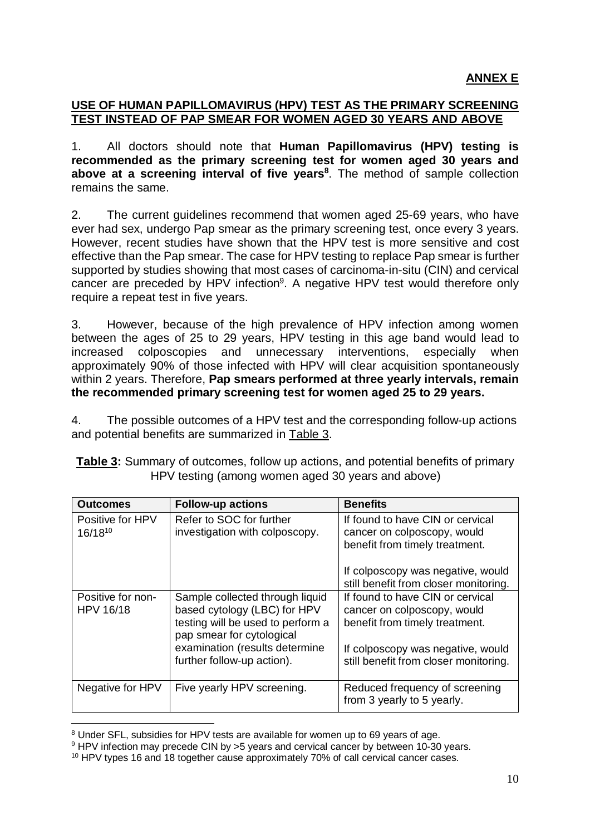### **USE OF HUMAN PAPILLOMAVIRUS (HPV) TEST AS THE PRIMARY SCREENING TEST INSTEAD OF PAP SMEAR FOR WOMEN AGED 30 YEARS AND ABOVE**

1. All doctors should note that **Human Papillomavirus (HPV) testing is recommended as the primary screening test for women aged 30 years and above at a screening interval of five years<sup>8</sup>** . The method of sample collection remains the same.

2. The current guidelines recommend that women aged 25-69 years, who have ever had sex, undergo Pap smear as the primary screening test, once every 3 years. However, recent studies have shown that the HPV test is more sensitive and cost effective than the Pap smear. The case for HPV testing to replace Pap smear is further supported by studies showing that most cases of carcinoma-in-situ (CIN) and cervical cancer are preceded by HPV infection<sup>9</sup>. A negative HPV test would therefore only require a repeat test in five years.

3. However, because of the high prevalence of HPV infection among women between the ages of 25 to 29 years, HPV testing in this age band would lead to increased colposcopies and unnecessary interventions, especially when approximately 90% of those infected with HPV will clear acquisition spontaneously within 2 years. Therefore, **Pap smears performed at three yearly intervals, remain the recommended primary screening test for women aged 25 to 29 years.**

4. The possible outcomes of a HPV test and the corresponding follow-up actions and potential benefits are summarized in Table 3.

| <b>Table 3:</b> Summary of outcomes, follow up actions, and potential benefits of primary |  |
|-------------------------------------------------------------------------------------------|--|
| HPV testing (among women aged 30 years and above)                                         |  |

| <b>Outcomes</b>                       | <b>Follow-up actions</b>                                                                                                          | <b>Benefits</b>                                                                                   |
|---------------------------------------|-----------------------------------------------------------------------------------------------------------------------------------|---------------------------------------------------------------------------------------------------|
| Positive for HPV<br>16/1810           | Refer to SOC for further<br>investigation with colposcopy.                                                                        | If found to have CIN or cervical<br>cancer on colposcopy, would<br>benefit from timely treatment. |
|                                       |                                                                                                                                   | If colposcopy was negative, would<br>still benefit from closer monitoring.                        |
| Positive for non-<br><b>HPV 16/18</b> | Sample collected through liquid<br>based cytology (LBC) for HPV<br>testing will be used to perform a<br>pap smear for cytological | If found to have CIN or cervical<br>cancer on colposcopy, would<br>benefit from timely treatment. |
|                                       | examination (results determine<br>further follow-up action).                                                                      | If colposcopy was negative, would<br>still benefit from closer monitoring.                        |
| Negative for HPV                      | Five yearly HPV screening.                                                                                                        | Reduced frequency of screening<br>from 3 yearly to 5 yearly.                                      |

 $\overline{a}$ <sup>8</sup> Under SFL, subsidies for HPV tests are available for women up to 69 years of age.

<sup>9</sup> HPV infection may precede CIN by >5 years and cervical cancer by between 10-30 years.

<sup>10</sup> HPV types 16 and 18 together cause approximately 70% of call cervical cancer cases.